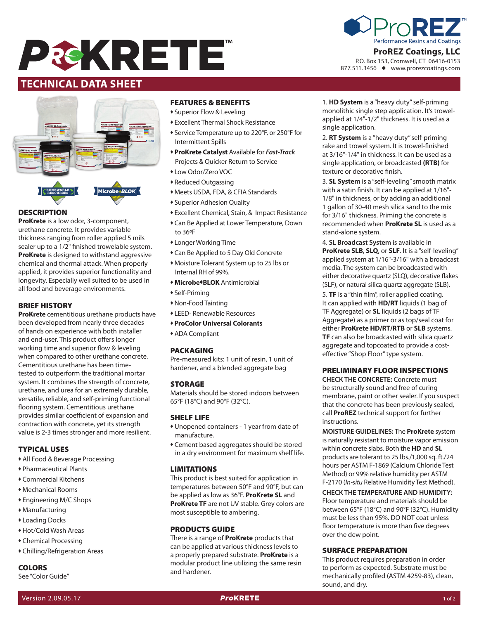



P.O. Box 153, Cromwell, CT 06416-0153 877.511.3456 www.prorezcoatings.com

# **TECHNICAL DATA SHEET**



#### **DESCRIPTION**

**ProKrete** is a low odor, 3-component, urethane concrete. It provides variable thickness ranging from roller applied 5 mils sealer up to a 1/2" finished trowelable system. **ProKrete** is designed to withstand aggressive chemical and thermal attack. When properly applied, it provides superior functionality and longevity. Especially well suited to be used in all food and beverage environments.

#### BRIEF HISTORY

**ProKrete** cementitious urethane products have been developed from nearly three decades of hands on experience with both installer and end-user. This product offers longer working time and superior flow & leveling when compared to other urethane concrete. Cementitious urethane has been timetested to outperform the traditional mortar system. It combines the strength of concrete, urethane, and urea for an extremely durable, versatile, reliable, and self-priming functional flooring system. Cementitious urethane provides similar coefficient of expansion and contraction with concrete, yet its strength value is 2-3 times stronger and more resilient.

# TYPICAL USES

- All Food & Beverage Processing
- <sup>u</sup> Pharmaceutical Plants
- <sup>u</sup> Commercial Kitchens
- <sup>u</sup> Mechanical Rooms
- Engineering M/C Shops
- $*$  Manufacturing
- **\*** Loading Docks
- <sup>u</sup> Hot/Cold Wash Areas
- Chemical Processing
- Chilling/Refrigeration Areas

#### **COLORS**

See "Color Guide"

#### FEATURES & BENEFITS

- **\*** Superior Flow & Leveling
- \* Excellent Thermal Shock Resistance
- \* Service Temperature up to 220°F, or 250°F for Intermittent Spills
- <sup>u</sup> **ProKrete Catalyst** Available for *Fast-Track* Projects & Quicker Return to Service
- \* Low Odor/Zero VOC
- Reduced Outgassing
- $\bullet$  Meets USDA, FDA, & CFIA Standards
- **\* Superior Adhesion Quality**
- **\* Excellent Chemical, Stain, & Impact Resistance**
- Can Be Applied at Lower Temperature, Down to 36ºF
- Longer Working Time
- Can Be Applied to 5 Day Old Concrete
- Moisture Tolerant System up to 25 lbs or Internal RH of 99%.
- **+ Microbe + BLOK** Antimicrobial
- $\bullet$  Self-Priming
- Non-Food Tainting
- **\* LEED- Renewable Resources**
- <sup>u</sup> **ProColor Universal Colorants**
- **\* ADA Compliant**

#### PACKAGING

Pre-measured kits: 1 unit of resin, 1 unit of hardener, and a blended aggregate bag

#### STORAGE

Materials should be stored indoors between 65°F (18°C) and 90°F (32°C).

# SHELF LIFE

- $*$  Unopened containers 1 year from date of manufacture.
- Cement based aggregates should be stored in a dry environment for maximum shelf life.

#### LIMITATIONS

This product is best suited for application in temperatures between 50°F and 90°F, but can be applied as low as 36°F. **ProKrete SL** and **ProKrete TF** are not UV stable. Grey colors are most susceptible to ambering.

#### PRODUCTS GUIDE

There is a range of **ProKrete** products that can be applied at various thickness levels to a properly prepared substrate. **ProKrete** is a modular product line utilizing the same resin and hardener.

1. **HD System** is a "heavy duty" self-priming monolithic single step application. It's trowelapplied at 1/4"-1/2" thickness. It is used as a single application.

2. **RT System** is a "heavy duty" self-priming rake and trowel system. It is trowel-finished at 3/16"-1/4" in thickness. It can be used as a single application, or broadcasted **(RTB)** for texture or decorative finish.

3. **SL System** is a "self-leveling" smooth matrix with a satin finish. It can be applied at 1/16"- 1/8" in thickness, or by adding an additional 1 gallon of 30-40 mesh silica sand to the mix for 3/16" thickness. Priming the concrete is recommended when **ProKrete SL** is used as a stand-alone system.

4. **SL Broadcast System** is available in **ProKrete SLB**, **SLQ**, or **SLF**. It is a "self-leveling" applied system at 1/16"-3/16" with a broadcast media. The system can be broadcasted with either decorative quartz (SLQ), decorative flakes (SLF), or natural silica quartz aggregate (SLB).

5. **TF** is a "thin film", roller applied coating. It can applied with **HD/RT** liquids (1 bag of TF Aggregate) or **SL** liquids (2 bags of TF Aggregate) as a primer or as top/seal coat for either **ProKrete HD/RT/RTB** or **SLB** systems. **TF** can also be broadcasted with silica quartz aggregate and topcoated to provide a costeffective "Shop Floor" type system.

# PRELIMINARY FLOOR INSPECTIONS

**CHECK THE CONCRETE:** Concrete must be structurally sound and free of curing membrane, paint or other sealer. If you suspect that the concrete has been previously sealed, call **ProREZ** technical support for further instructions.

**MOISTURE GUIDELINES:** The **ProKrete** system is naturally resistant to moisture vapor emission within concrete slabs. Both the **HD** and **SL** products are tolerant to 25 lbs./1,000 sq. ft./24 hours per ASTM F-1869 (Calcium Chloride Test Method) or 99% relative humidity per ASTM F-2170 (*In-situ* Relative Humidity Test Method).

**CHECK THE TEMPERATURE AND HUMIDITY:** Floor temperature and materials should be between 65°F (18°C) and 90°F (32°C). Humidity must be less than 95%. DO NOT coat unless floor temperature is more than five degrees over the dew point.

#### SURFACE PREPARATION

This product requires preparation in order to perform as expected. Substrate must be mechanically profiled (ASTM 4259-83), clean, sound, and dry.